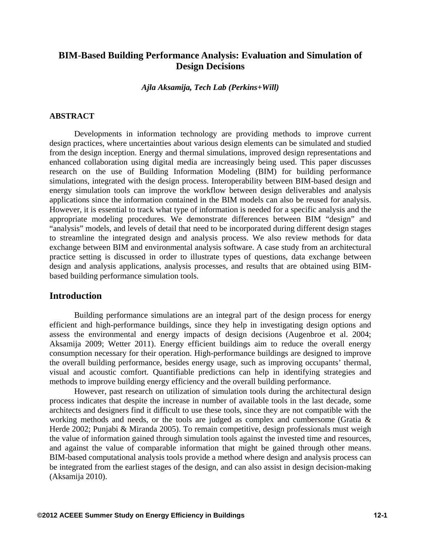## **BIM-Based Building Performance Analysis: Evaluation and Simulation of Design Decisions**

*Ajla Aksamija, Tech Lab (Perkins+Will)* 

#### **ABSTRACT**

Developments in information technology are providing methods to improve current design practices, where uncertainties about various design elements can be simulated and studied from the design inception. Energy and thermal simulations, improved design representations and enhanced collaboration using digital media are increasingly being used. This paper discusses research on the use of Building Information Modeling (BIM) for building performance simulations, integrated with the design process. Interoperability between BIM-based design and energy simulation tools can improve the workflow between design deliverables and analysis applications since the information contained in the BIM models can also be reused for analysis. However, it is essential to track what type of information is needed for a specific analysis and the appropriate modeling procedures. We demonstrate differences between BIM "design" and "analysis" models, and levels of detail that need to be incorporated during different design stages to streamline the integrated design and analysis process. We also review methods for data exchange between BIM and environmental analysis software. A case study from an architectural practice setting is discussed in order to illustrate types of questions, data exchange between design and analysis applications, analysis processes, and results that are obtained using BIMbased building performance simulation tools.

### **Introduction**

Building performance simulations are an integral part of the design process for energy efficient and high-performance buildings, since they help in investigating design options and assess the environmental and energy impacts of design decisions (Augenbroe et al. 2004; Aksamija 2009; Wetter 2011). Energy efficient buildings aim to reduce the overall energy consumption necessary for their operation. High-performance buildings are designed to improve the overall building performance, besides energy usage, such as improving occupants' thermal, visual and acoustic comfort. Quantifiable predictions can help in identifying strategies and methods to improve building energy efficiency and the overall building performance.

However, past research on utilization of simulation tools during the architectural design process indicates that despite the increase in number of available tools in the last decade, some architects and designers find it difficult to use these tools, since they are not compatible with the working methods and needs, or the tools are judged as complex and cumbersome (Gratia & Herde 2002; Punjabi & Miranda 2005). To remain competitive, design professionals must weigh the value of information gained through simulation tools against the invested time and resources, and against the value of comparable information that might be gained through other means. BIM-based computational analysis tools provide a method where design and analysis process can be integrated from the earliest stages of the design, and can also assist in design decision-making (Aksamija 2010).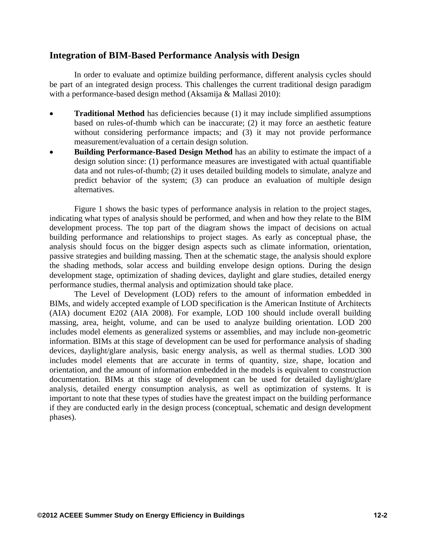### **Integration of BIM-Based Performance Analysis with Design**

In order to evaluate and optimize building performance, different analysis cycles should be part of an integrated design process. This challenges the current traditional design paradigm with a performance-based design method (Aksamija & Mallasi 2010):

- **Traditional Method** has deficiencies because (1) it may include simplified assumptions based on rules-of-thumb which can be inaccurate; (2) it may force an aesthetic feature without considering performance impacts; and (3) it may not provide performance measurement/evaluation of a certain design solution.
- **Building Performance-Based Design Method** has an ability to estimate the impact of a design solution since: (1) performance measures are investigated with actual quantifiable data and not rules-of-thumb; (2) it uses detailed building models to simulate, analyze and predict behavior of the system; (3) can produce an evaluation of multiple design alternatives.

Figure 1 shows the basic types of performance analysis in relation to the project stages, indicating what types of analysis should be performed, and when and how they relate to the BIM development process. The top part of the diagram shows the impact of decisions on actual building performance and relationships to project stages. As early as conceptual phase, the analysis should focus on the bigger design aspects such as climate information, orientation, passive strategies and building massing. Then at the schematic stage, the analysis should explore the shading methods, solar access and building envelope design options. During the design development stage, optimization of shading devices, daylight and glare studies, detailed energy performance studies, thermal analysis and optimization should take place.

The Level of Development (LOD) refers to the amount of information embedded in BIMs, and widely accepted example of LOD specification is the American Institute of Architects (AIA) document E202 (AIA 2008). For example, LOD 100 should include overall building massing, area, height, volume, and can be used to analyze building orientation. LOD 200 includes model elements as generalized systems or assemblies, and may include non-geometric information. BIMs at this stage of development can be used for performance analysis of shading devices, daylight/glare analysis, basic energy analysis, as well as thermal studies. LOD 300 includes model elements that are accurate in terms of quantity, size, shape, location and orientation, and the amount of information embedded in the models is equivalent to construction documentation. BIMs at this stage of development can be used for detailed daylight/glare analysis, detailed energy consumption analysis, as well as optimization of systems. It is important to note that these types of studies have the greatest impact on the building performance if they are conducted early in the design process (conceptual, schematic and design development phases).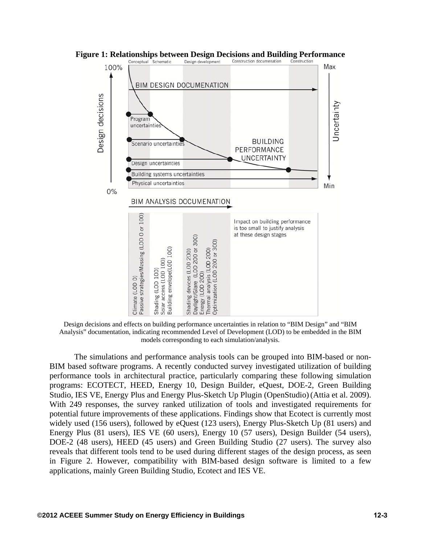

**Figure 1: Relationships between Design Decisions and Building Performance**<br>Conceptual Schematic Design development Construction documenation Construction

Design decisions and effects on building performance uncertainties in relation to "BIM Design" and "BIM Analysis" documentation, indicating recommended Level of Development (LOD) to be embedded in the BIM models corresponding to each simulation/analysis.

The simulations and performance analysis tools can be grouped into BIM-based or non-BIM based software programs. A recently conducted survey investigated utilization of building performance tools in architectural practice, particularly comparing these following simulation programs: ECOTECT, HEED, Energy 10, Design Builder, eQuest, DOE-2, Green Building Studio, IES VE, Energy Plus and Energy Plus-Sketch Up Plugin (OpenStudio)(Attia et al. 2009). With 249 responses, the survey ranked utilization of tools and investigated requirements for potential future improvements of these applications. Findings show that Ecotect is currently most widely used (156 users), followed by eQuest (123 users), Energy Plus-Sketch Up (81 users) and Energy Plus (81 users), IES VE (60 users), Energy 10 (57 users), Design Builder (54 users), DOE-2 (48 users), HEED (45 users) and Green Building Studio (27 users). The survey also reveals that different tools tend to be used during different stages of the design process, as seen in Figure 2. However, compatibility with BIM-based design software is limited to a few applications, mainly Green Building Studio, Ecotect and IES VE.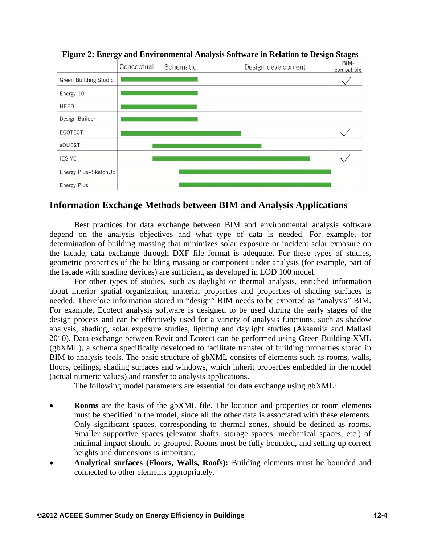

**Figure 2: Energy and Environmental Analysis Software in Relation to Design Stages** 

# **Information Exchange Methods between BIM and Analysis Applications**

Best practices for data exchange between BIM and environmental analysis software depend on the analysis objectives and what type of data is needed. For example, for determination of building massing that minimizes solar exposure or incident solar exposure on the facade, data exchange through DXF file format is adequate. For these types of studies, geometric properties of the building massing or component under analysis (for example, part of the facade with shading devices) are sufficient, as developed in LOD 100 model.

For other types of studies, such as daylight or thermal analysis, enriched information about interior spatial organization, material properties and properties of shading surfaces is needed. Therefore information stored in "design" BIM needs to be exported as "analysis" BIM. For example, Ecotect analysis software is designed to be used during the early stages of the design process and can be effectively used for a variety of analysis functions, such as shadow analysis, shading, solar exposure studies, lighting and daylight studies (Aksamija and Mallasi 2010). Data exchange between Revit and Ecotect can be performed using Green Building XML (gbXML), a schema specifically developed to facilitate transfer of building properties stored in BIM to analysis tools. The basic structure of gbXML consists of elements such as rooms, walls, floors, ceilings, shading surfaces and windows, which inherit properties embedded in the model (actual numeric values) and transfer to analysis applications.

The following model parameters are essential for data exchange using gbXML:

- **Rooms** are the basis of the gbXML file. The location and properties or room elements must be specified in the model, since all the other data is associated with these elements. Only significant spaces, corresponding to thermal zones, should be defined as rooms. Smaller supportive spaces (elevator shafts, storage spaces, mechanical spaces, etc.) of minimal impact should be grouped. Rooms must be fully bounded, and setting up correct heights and dimensions is important.
- **Analytical surfaces (Floors, Walls, Roofs):** Building elements must be bounded and connected to other elements appropriately.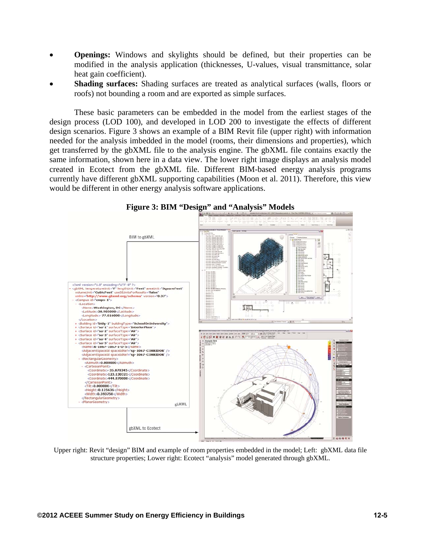- **Openings:** Windows and skylights should be defined, but their properties can be modified in the analysis application (thicknesses, U-values, visual transmittance, solar heat gain coefficient).
- **Shading surfaces:** Shading surfaces are treated as analytical surfaces (walls, floors or roofs) not bounding a room and are exported as simple surfaces.

These basic parameters can be embedded in the model from the earliest stages of the design process (LOD 100), and developed in LOD 200 to investigate the effects of different design scenarios. Figure 3 shows an example of a BIM Revit file (upper right) with information needed for the analysis imbedded in the model (rooms, their dimensions and properties), which get transferred by the gbXML file to the analysis engine. The gbXML file contains exactly the same information, shown here in a data view. The lower right image displays an analysis model created in Ecotect from the gbXML file. Different BIM-based energy analysis programs currently have different gbXML supporting capabilities (Moon et al. 2011). Therefore, this view would be different in other energy analysis software applications.



**Figure 3: BIM "Design" and "Analysis" Models** 

Upper right: Revit "design" BIM and example of room properties embedded in the model; Left: gbXML data file structure properties; Lower right: Ecotect "analysis" model generated through gbXML.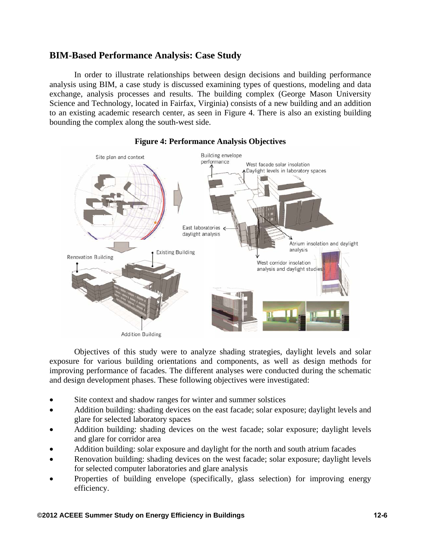## **BIM-Based Performance Analysis: Case Study**

In order to illustrate relationships between design decisions and building performance analysis using BIM, a case study is discussed examining types of questions, modeling and data exchange, analysis processes and results. The building complex (George Mason University Science and Technology, located in Fairfax, Virginia) consists of a new building and an addition to an existing academic research center, as seen in Figure 4. There is also an existing building bounding the complex along the south-west side.



### **Figure 4: Performance Analysis Objectives**

Objectives of this study were to analyze shading strategies, daylight levels and solar exposure for various building orientations and components, as well as design methods for improving performance of facades. The different analyses were conducted during the schematic and design development phases. These following objectives were investigated:

- Site context and shadow ranges for winter and summer solstices
- Addition building: shading devices on the east facade; solar exposure; daylight levels and glare for selected laboratory spaces
- Addition building: shading devices on the west facade; solar exposure; daylight levels and glare for corridor area
- Addition building: solar exposure and daylight for the north and south atrium facades
- Renovation building: shading devices on the west facade; solar exposure; daylight levels for selected computer laboratories and glare analysis
- Properties of building envelope (specifically, glass selection) for improving energy efficiency.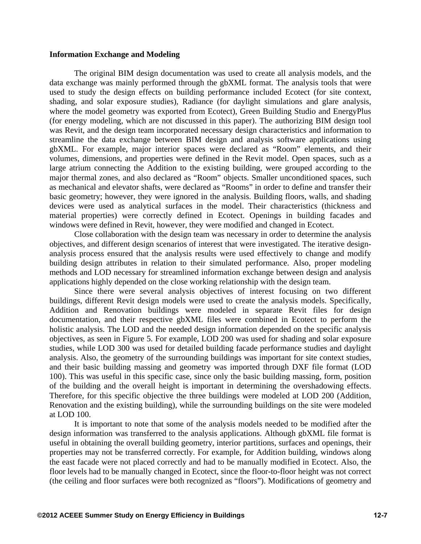#### **Information Exchange and Modeling**

The original BIM design documentation was used to create all analysis models, and the data exchange was mainly performed through the gbXML format. The analysis tools that were used to study the design effects on building performance included Ecotect (for site context, shading, and solar exposure studies), Radiance (for daylight simulations and glare analysis, where the model geometry was exported from Ecotect), Green Building Studio and EnergyPlus (for energy modeling, which are not discussed in this paper). The authorizing BIM design tool was Revit, and the design team incorporated necessary design characteristics and information to streamline the data exchange between BIM design and analysis software applications using gbXML. For example, major interior spaces were declared as "Room" elements, and their volumes, dimensions, and properties were defined in the Revit model. Open spaces, such as a large atrium connecting the Addition to the existing building, were grouped according to the major thermal zones, and also declared as "Room" objects. Smaller unconditioned spaces, such as mechanical and elevator shafts, were declared as "Rooms" in order to define and transfer their basic geometry; however, they were ignored in the analysis. Building floors, walls, and shading devices were used as analytical surfaces in the model. Their characteristics (thickness and material properties) were correctly defined in Ecotect. Openings in building facades and windows were defined in Revit, however, they were modified and changed in Ecotect.

Close collaboration with the design team was necessary in order to determine the analysis objectives, and different design scenarios of interest that were investigated. The iterative designanalysis process ensured that the analysis results were used effectively to change and modify building design attributes in relation to their simulated performance. Also, proper modeling methods and LOD necessary for streamlined information exchange between design and analysis applications highly depended on the close working relationship with the design team.

Since there were several analysis objectives of interest focusing on two different buildings, different Revit design models were used to create the analysis models. Specifically, Addition and Renovation buildings were modeled in separate Revit files for design documentation, and their respective gbXML files were combined in Ecotect to perform the holistic analysis. The LOD and the needed design information depended on the specific analysis objectives, as seen in Figure 5. For example, LOD 200 was used for shading and solar exposure studies, while LOD 300 was used for detailed building facade performance studies and daylight analysis. Also, the geometry of the surrounding buildings was important for site context studies, and their basic building massing and geometry was imported through DXF file format (LOD 100). This was useful in this specific case, since only the basic building massing, form, position of the building and the overall height is important in determining the overshadowing effects. Therefore, for this specific objective the three buildings were modeled at LOD 200 (Addition, Renovation and the existing building), while the surrounding buildings on the site were modeled at LOD 100.

It is important to note that some of the analysis models needed to be modified after the design information was transferred to the analysis applications. Although gbXML file format is useful in obtaining the overall building geometry, interior partitions, surfaces and openings, their properties may not be transferred correctly. For example, for Addition building, windows along the east facade were not placed correctly and had to be manually modified in Ecotect. Also, the floor levels had to be manually changed in Ecotect, since the floor-to-floor height was not correct (the ceiling and floor surfaces were both recognized as "floors"). Modifications of geometry and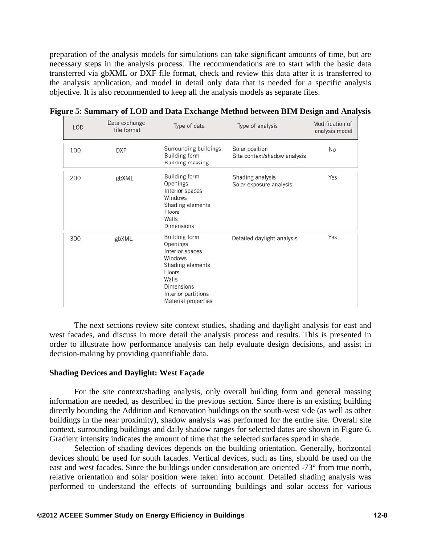preparation of the analysis models for simulations can take significant amounts of time, but are necessary steps in the analysis process. The recommendations are to start with the basic data transferred via gbXML or DXF file format, check and review this data after it is transferred to the analysis application, and model in detail only data that is needed for a specific analysis objective. It is also recommended to keep all the analysis models as separate files.

| LOD | Data exchange<br>file format | Type of data                                                                                                                                                             | Type of analysis                               | Modification of<br>analysis model |
|-----|------------------------------|--------------------------------------------------------------------------------------------------------------------------------------------------------------------------|------------------------------------------------|-----------------------------------|
| 100 | <b>DXF</b>                   | Surrounding buildings<br><b>Building form</b><br><b>Building massing</b>                                                                                                 | Solar position<br>Site context/shadow analysis | No                                |
| 200 | gbXML                        | Building form<br>Openings<br>Interior spaces<br>Windows<br>Shading elements<br>Floors<br>Walls<br><b>Dimensions</b>                                                      | Shading analysis<br>Solar exposure analysis    | Yes                               |
| 300 | gbXML                        | <b>Building form</b><br>Openings<br>Interior spaces<br>Windows<br>Shading elements<br>Floors<br>Walls<br><b>Dimensions</b><br>Interior partitions<br>Material properties | Detailed daylight analysis                     | Yes                               |

**Figure 5: Summary of LOD and Data Exchange Method between BIM Design and Analysis** 

The next sections review site context studies, shading and daylight analysis for east and west facades, and discuss in more detail the analysis process and results. This is presented in order to illustrate how performance analysis can help evaluate design decisions, and assist in decision-making by providing quantifiable data.

#### **Shading Devices and Daylight: West Façade**

For the site context/shading analysis, only overall building form and general massing information are needed, as described in the previous section. Since there is an existing building directly bounding the Addition and Renovation buildings on the south-west side (as well as other buildings in the near proximity), shadow analysis was performed for the entire site. Overall site context, surrounding buildings and daily shadow ranges for selected dates are shown in Figure 6. Gradient intensity indicates the amount of time that the selected surfaces spend in shade.

Selection of shading devices depends on the building orientation. Generally, horizontal devices should be used for south facades. Vertical devices, such as fins, should be used on the east and west facades. Since the buildings under consideration are oriented -73° from true north, relative orientation and solar position were taken into account. Detailed shading analysis was performed to understand the effects of surrounding buildings and solar access for various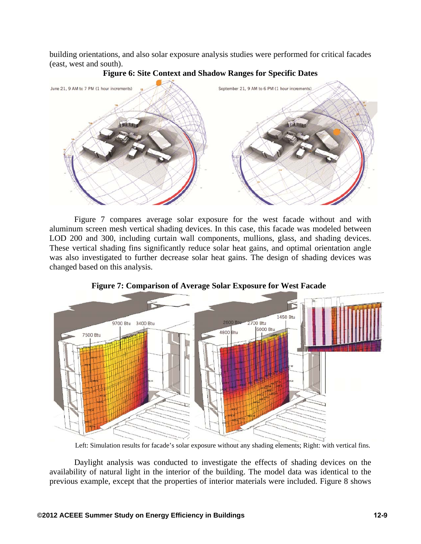building orientations, and also solar exposure analysis studies were performed for critical facades (east, west and south).



### **Figure 6: Site Context and Shadow Ranges for Specific Dates**

Figure 7 compares average solar exposure for the west facade without and with aluminum screen mesh vertical shading devices. In this case, this facade was modeled between LOD 200 and 300, including curtain wall components, mullions, glass, and shading devices. These vertical shading fins significantly reduce solar heat gains, and optimal orientation angle was also investigated to further decrease solar heat gains. The design of shading devices was changed based on this analysis.



**Figure 7: Comparison of Average Solar Exposure for West Facade** 

Left: Simulation results for facade's solar exposure without any shading elements; Right: with vertical fins.

Daylight analysis was conducted to investigate the effects of shading devices on the availability of natural light in the interior of the building. The model data was identical to the previous example, except that the properties of interior materials were included. Figure 8 shows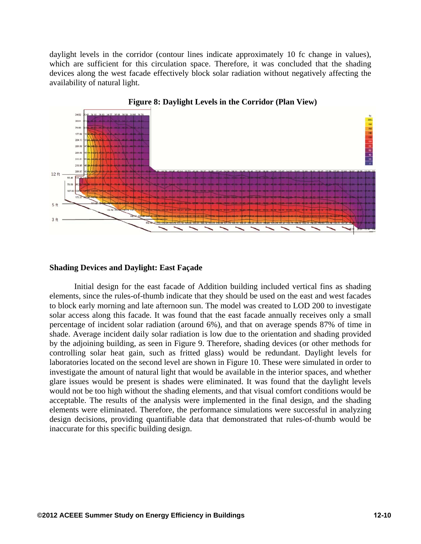daylight levels in the corridor (contour lines indicate approximately 10 fc change in values), which are sufficient for this circulation space. Therefore, it was concluded that the shading devices along the west facade effectively block solar radiation without negatively affecting the availability of natural light.





#### **Shading Devices and Daylight: East Façade**

Initial design for the east facade of Addition building included vertical fins as shading elements, since the rules-of-thumb indicate that they should be used on the east and west facades to block early morning and late afternoon sun. The model was created to LOD 200 to investigate solar access along this facade. It was found that the east facade annually receives only a small percentage of incident solar radiation (around 6%), and that on average spends 87% of time in shade. Average incident daily solar radiation is low due to the orientation and shading provided by the adjoining building, as seen in Figure 9. Therefore, shading devices (or other methods for controlling solar heat gain, such as fritted glass) would be redundant. Daylight levels for laboratories located on the second level are shown in Figure 10. These were simulated in order to investigate the amount of natural light that would be available in the interior spaces, and whether glare issues would be present is shades were eliminated. It was found that the daylight levels would not be too high without the shading elements, and that visual comfort conditions would be acceptable. The results of the analysis were implemented in the final design, and the shading elements were eliminated. Therefore, the performance simulations were successful in analyzing design decisions, providing quantifiable data that demonstrated that rules-of-thumb would be inaccurate for this specific building design.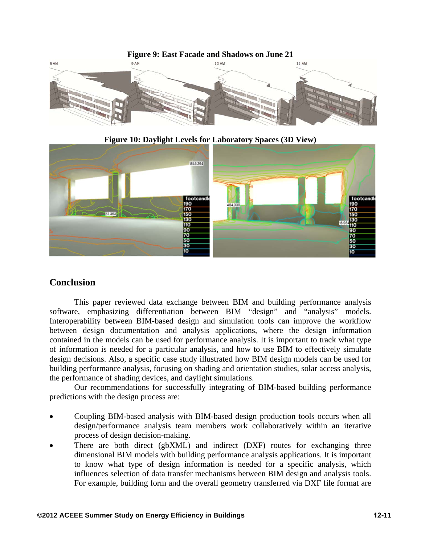**Figure 9: East Facade and Shadows on June 21**



**Figure 10: Daylight Levels for Laboratory Spaces (3D View)** 



## **Conclusion**

This paper reviewed data exchange between BIM and building performance analysis software, emphasizing differentiation between BIM "design" and "analysis" models. Interoperability between BIM-based design and simulation tools can improve the workflow between design documentation and analysis applications, where the design information contained in the models can be used for performance analysis. It is important to track what type of information is needed for a particular analysis, and how to use BIM to effectively simulate design decisions. Also, a specific case study illustrated how BIM design models can be used for building performance analysis, focusing on shading and orientation studies, solar access analysis, the performance of shading devices, and daylight simulations.

Our recommendations for successfully integrating of BIM-based building performance predictions with the design process are:

- Coupling BIM-based analysis with BIM-based design production tools occurs when all design/performance analysis team members work collaboratively within an iterative process of design decision-making.
- There are both direct (gbXML) and indirect (DXF) routes for exchanging three dimensional BIM models with building performance analysis applications. It is important to know what type of design information is needed for a specific analysis, which influences selection of data transfer mechanisms between BIM design and analysis tools. For example, building form and the overall geometry transferred via DXF file format are